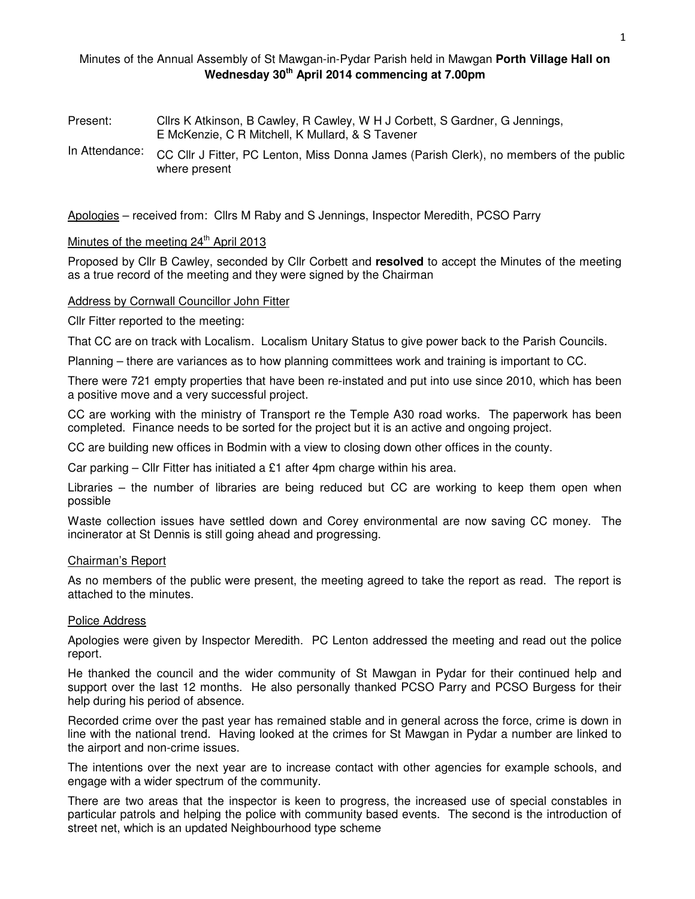## Minutes of the Annual Assembly of St Mawgan-in-Pydar Parish held in Mawgan **Porth Village Hall on Wednesday 30th April 2014 commencing at 7.00pm**

- Present: Cllrs K Atkinson, B Cawley, R Cawley, W H J Corbett, S Gardner, G Jennings, E McKenzie, C R Mitchell, K Mullard, & S Tavener
- In Attendance: CC Cllr J Fitter, PC Lenton, Miss Donna James (Parish Clerk), no members of the public where present

Apologies – received from: Cllrs M Raby and S Jennings, Inspector Meredith, PCSO Parry

# Minutes of the meeting 24<sup>th</sup> April 2013

Proposed by Cllr B Cawley, seconded by Cllr Corbett and **resolved** to accept the Minutes of the meeting as a true record of the meeting and they were signed by the Chairman

#### Address by Cornwall Councillor John Fitter

Cllr Fitter reported to the meeting:

That CC are on track with Localism. Localism Unitary Status to give power back to the Parish Councils.

Planning – there are variances as to how planning committees work and training is important to CC.

There were 721 empty properties that have been re-instated and put into use since 2010, which has been a positive move and a very successful project.

CC are working with the ministry of Transport re the Temple A30 road works. The paperwork has been completed. Finance needs to be sorted for the project but it is an active and ongoing project.

CC are building new offices in Bodmin with a view to closing down other offices in the county.

Car parking – Cllr Fitter has initiated a £1 after 4pm charge within his area.

Libraries – the number of libraries are being reduced but CC are working to keep them open when possible

Waste collection issues have settled down and Corey environmental are now saving CC money. The incinerator at St Dennis is still going ahead and progressing.

#### Chairman's Report

As no members of the public were present, the meeting agreed to take the report as read. The report is attached to the minutes.

## Police Address

Apologies were given by Inspector Meredith. PC Lenton addressed the meeting and read out the police report.

He thanked the council and the wider community of St Mawgan in Pydar for their continued help and support over the last 12 months. He also personally thanked PCSO Parry and PCSO Burgess for their help during his period of absence.

Recorded crime over the past year has remained stable and in general across the force, crime is down in line with the national trend. Having looked at the crimes for St Mawgan in Pydar a number are linked to the airport and non-crime issues.

The intentions over the next year are to increase contact with other agencies for example schools, and engage with a wider spectrum of the community.

There are two areas that the inspector is keen to progress, the increased use of special constables in particular patrols and helping the police with community based events. The second is the introduction of street net, which is an updated Neighbourhood type scheme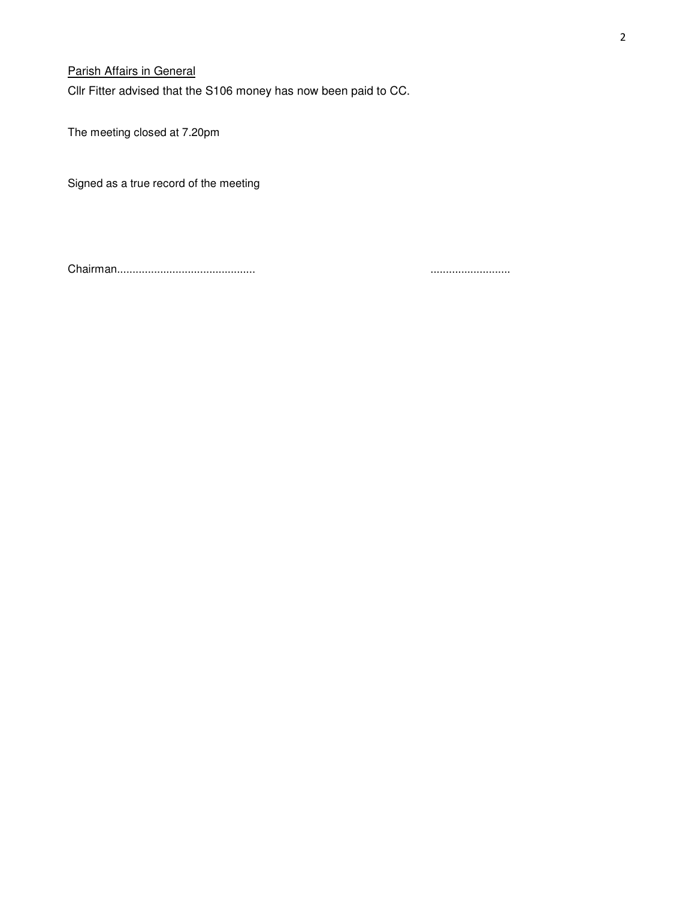# Parish Affairs in General

Cllr Fitter advised that the S106 money has now been paid to CC.

The meeting closed at 7.20pm

Signed as a true record of the meeting

Chairman............................................. ..........................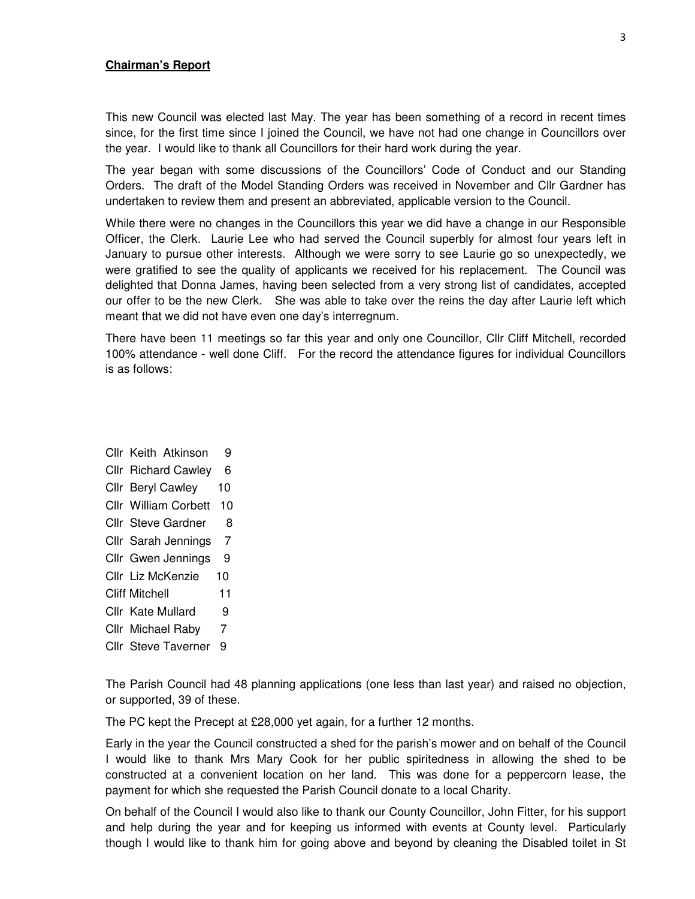#### **Chairman's Report**

This new Council was elected last May. The year has been something of a record in recent times since, for the first time since I joined the Council, we have not had one change in Councillors over the year. I would like to thank all Councillors for their hard work during the year.

The year began with some discussions of the Councillors' Code of Conduct and our Standing Orders. The draft of the Model Standing Orders was received in November and Cllr Gardner has undertaken to review them and present an abbreviated, applicable version to the Council.

While there were no changes in the Councillors this year we did have a change in our Responsible Officer, the Clerk. Laurie Lee who had served the Council superbly for almost four years left in January to pursue other interests. Although we were sorry to see Laurie go so unexpectedly, we were gratified to see the quality of applicants we received for his replacement. The Council was delighted that Donna James, having been selected from a very strong list of candidates, accepted our offer to be the new Clerk. She was able to take over the reins the day after Laurie left which meant that we did not have even one day's interregnum.

There have been 11 meetings so far this year and only one Councillor, Cllr Cliff Mitchell, recorded 100% attendance - well done Cliff. For the record the attendance figures for individual Councillors is as follows:

- Cllr Keith Atkinson 9
- Cllr Richard Cawley 6
- Cllr Beryl Cawley 10
- Cllr William Corbett 10
- Cllr Steve Gardner 8
- Cllr Sarah Jennings 7
- Cllr Gwen Jennings 9
- Cllr Liz McKenzie 10
- Cliff Mitchell 11
- Cllr Kate Mullard 9
- Cllr Michael Raby 7
- Cllr Steve Taverner 9

The Parish Council had 48 planning applications (one less than last year) and raised no objection, or supported, 39 of these.

The PC kept the Precept at £28,000 yet again, for a further 12 months.

Early in the year the Council constructed a shed for the parish's mower and on behalf of the Council I would like to thank Mrs Mary Cook for her public spiritedness in allowing the shed to be constructed at a convenient location on her land. This was done for a peppercorn lease, the payment for which she requested the Parish Council donate to a local Charity.

On behalf of the Council I would also like to thank our County Councillor, John Fitter, for his support and help during the year and for keeping us informed with events at County level. Particularly though I would like to thank him for going above and beyond by cleaning the Disabled toilet in St